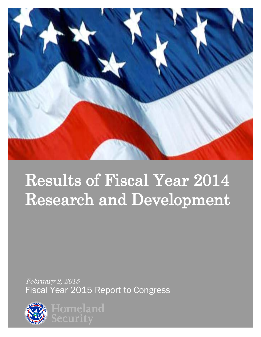

# Results of Fiscal Year 2014 Research and Development

February 2, 2015 Fiscal Year 2015 Report to Congress



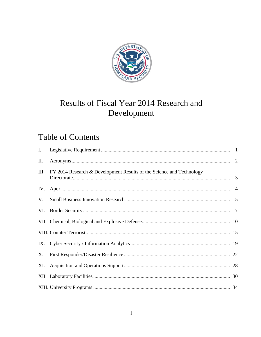

# Results of Fiscal Year 2014 Research and Development

## **Table of Contents**

| I.  |                                                                      |  |
|-----|----------------------------------------------------------------------|--|
| Π.  |                                                                      |  |
| Ш.  | FY 2014 Research & Development Results of the Science and Technology |  |
| IV. |                                                                      |  |
| V.  |                                                                      |  |
|     |                                                                      |  |
|     |                                                                      |  |
|     |                                                                      |  |
|     |                                                                      |  |
| X.  |                                                                      |  |
|     |                                                                      |  |
|     |                                                                      |  |
|     |                                                                      |  |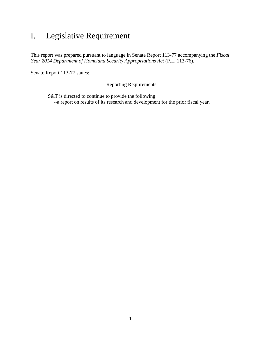### <span id="page-2-0"></span>I. Legislative Requirement

This report was prepared pursuant to language in Senate Report 113-77 accompanying the *Fiscal Year 2014 Department of Homeland Security Appropriations Act* (P.L. 113-76).

Senate Report 113-77 states:

Reporting Requirements

S&T is directed to continue to provide the following: --a report on results of its research and development for the prior fiscal year.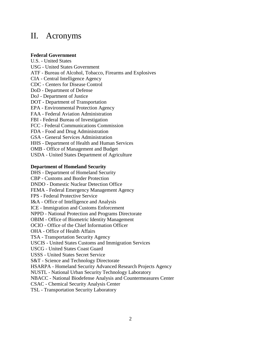### <span id="page-3-0"></span>II. Acronyms

### **Federal Government**

U.S. - United States USG - United States Government ATF - Bureau of Alcohol, Tobacco, Firearms and Explosives CIA - Central Intelligence Agency CDC - Centers for Disease Control DoD - Department of Defense DoJ - Department of Justice DOT - Department of Transportation EPA - Environmental Protection Agency FAA - Federal Aviation Administration FBI - Federal Bureau of Investigation FCC - Federal Communications Commission FDA - Food and Drug Administration GSA - General Services Administration HHS - Department of Health and Human Services OMB - Office of Management and Budget USDA - United States Department of Agriculture

#### **Department of Homeland Security**

DHS - Department of Homeland Security CBP - Customs and Border Protection DNDO - Domestic Nuclear Detection Office FEMA - Federal Emergency Management Agency FPS - Federal Protective Service I&A - Office of Intelligence and Analysis ICE - Immigration and Customs Enforcement NPPD - National Protection and Programs Directorate OBIM - Office of Biometric Identity Management OCIO - Office of the Chief Information Officer OHA - Office of Health Affairs TSA - Transportation Security Agency USCIS - United States Customs and Immigration Services USCG - United States Coast Guard USSS - United States Secret Service S&T - Science and Technology Directorate HSARPA - Homeland Security Advanced Research Projects Agency NUSTL - National Urban Security Technology Laboratory NBACC - National Biodefense Analysis and Countermeasures Center CSAC - Chemical Security Analysis Center TSL - Transportation Security Laboratory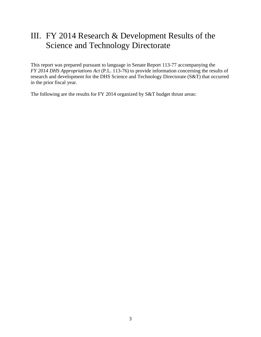### <span id="page-4-0"></span>III. FY 2014 Research & Development Results of the Science and Technology Directorate

This report was prepared pursuant to language in Senate Report 113-77 accompanying the *FY 2014 DHS Appropriations Act* (P.L. 113-76) to provide information concerning the results of research and development for the DHS Science and Technology Directorate (S&T) that occurred in the prior fiscal year.

The following are the results for FY 2014 organized by S&T budget thrust areas: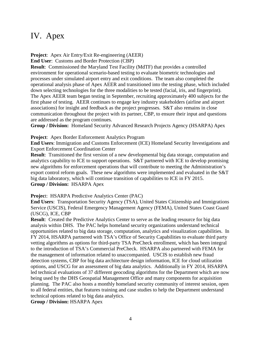### <span id="page-5-0"></span>IV. Apex

**Project**: Apex Air Entry/Exit Re-engineering (AEER)

**End User**: Customs and Border Protection (CBP)

**Result**: Commissioned the Maryland Test Facility (MdTF) that provides a controlled environment for operational scenario-based testing to evaluate biometric technologies and processes under simulated airport entry and exit conditions. The team also completed the operational analysis phase of Apex AEER and transitioned into the testing phase, which included down selecting technologies for the three modalities to be tested (facial, iris, and fingerprint). The Apex AEER team began testing in September, recruiting approximately 400 subjects for the first phase of testing. AEER continues to engage key industry stakeholders (airline and airport associations) for insight and feedback as the project progresses. S&T also remains in close communication throughout the project with its partner, CBP, to ensure their input and questions are addressed as the program continues.

**Group / Division:** Homeland Security Advanced Research Projects Agency (HSARPA) Apex

**Project**: Apex Border Enforcement Analytics Program

**End Users**: Immigration and Customs Enforcement (ICE) Homeland Security Investigations and Export Enforcement Coordination Center

**Result**: Transitioned the first version of a new developmental big data storage, computation and analytics capability to ICE to support operations. S&T partnered with ICE to develop promising new algorithms for enforcement operations that will contribute to meeting the Administration's export control reform goals. These new algorithms were implemented and evaluated in the S&T big data laboratory, which will continue transition of capabilities to ICE in FY 2015. **Group / Division:** HSARPA Apex

**Projec**t: HSARPA Predictive Analytics Center (PAC)

**End Users**: Transportation Security Agency (TSA), United States Citizenship and Immigrations Service (USCIS), Federal Emergency Management Agency (FEMA), United States Coast Guard (USCG), ICE, CBP

**Result:** Created the Predictive Analytics Center to serve as the leading resource for big data analysis within DHS. The PAC helps homeland security organizations understand technical opportunities related to big data storage, computation, analytics and visualization capabilities. In FY 2014, HSARPA partnered with TSA's Office of Security Capabilities to evaluate third party vetting algorithms as options for third-party TSA PreCheck enrollment, which has been integral to the introduction of TSA's Commercial PreCheck. HSARPA also partnered with FEMA for the management of information related to unaccompanied. USCIS to establish new fraud detection systems, CBP for big data architecture design information, ICE for cloud utilization options, and USCG for an assessment of big data analytics. Additionally in FY 2014, HSARPA led technical evaluations of 37 different geocoding algorithms for the Department which are now being used by the DHS Geospatial Management Office and many components for acquisition planning. The PAC also hosts a monthly homeland security community of interest session, open to all federal entities, that features training and case studies to help the Department understand technical options related to big data analytics.

**Group / Division:** HSARPA Apex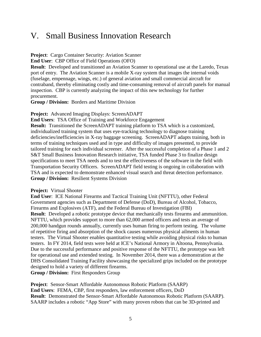### <span id="page-6-0"></span>V. Small Business Innovation Research

**Project**: Cargo Container Security: Aviation Scanner

**End User**: CBP Office of Field Operations (OFO)

**Result**: Developed and transitioned an Aviation Scanner to operational use at the Laredo, Texas port of entry. The Aviation Scanner is a mobile X-ray system that images the internal voids (fuselage, empennage, wings, etc.) of general aviation and small commercial aircraft for contraband, thereby eliminating costly and time-consuming removal of aircraft panels for manual inspection. CBP is currently analyzing the impact of this new technology for further procurement.

**Group / Division:** Borders and Maritime Division

**Project:** Advanced Imaging Displays: ScreenADAPT

**End Users**: TSA Office of Training and Workforce Engagement

**Result:** Transitioned the ScreenADAPT training platform to TSA which is a customized, individualized training system that uses eye-tracking technology to diagnose training deficiencies/inefficiencies in X-ray baggage screening. ScreenADAPT adapts training, both in terms of training techniques used and in type and difficulty of images presented, to provide tailored training for each individual screener. After the successful completion of a Phase 1 and 2 S&T Small Business Innovation Research initiative, TSA funded Phase 3 to finalize design specifications to meet TSA needs and to test the effectiveness of the software in the field with Transportation Security Officers. ScreenADAPT field testing is ongoing in collaboration with TSA and is expected to demonstrate enhanced visual search and threat detection performance. **Group / Division:** Resilient Systems Division

#### **Project:** Virtual Shooter

**End User**:ICE National Firearms and Tactical Training Unit (NFTTU), other Federal Government agencies such as Department of Defense (DoD), Bureau of Alcohol, Tobacco, Firearms and Explosives (ATF), and the Federal Bureau of Investigation (FBI) **Result:** Developed a robotic prototype device that mechanically tests firearms and ammunition. NFTTU, which provides support to more than 62,000 armed officers and tests an average of 200,000 handgun rounds annually, currently uses human firing to perform testing. The volume of repetitive firing and absorption of the shock causes numerous physical ailments in human testers. The Virtual Shooter enables quantitative testing while avoiding physical risks to human testers. In FY 2014, field tests were held at ICE's National Armory in Altoona, Pennsylvania. Due to the successful performance and positive response of the NFTTU, the prototype was left for operational use and extended testing. In November 2014, there was a demonstration at the DHS Consolidated Training Facility showcasing the specialized grips included on the prototype designed to hold a variety of different firearms.

**Group / Division:** First Responders Group

**Project**:Sensor-Smart Affordable Autonomous Robotic Platform (SAARP) **End Users**:FEMA, CBP, first responders, law enforcement officers, DoD **Result**:Demonstrated the Sensor-Smart Affordable Autonomous Robotic Platform (SAARP). SAARP includes a robotic "App Store" with many proven robots that can be 3D-printed and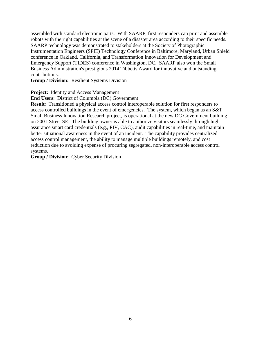assembled with standard electronic parts. With SAARP, first responders can print and assemble robots with the right capabilities at the scene of a disaster area according to their specific needs. SAARP technology was demonstrated to stakeholders at the Society of Photographic Instrumentation Engineers (SPIE) Technology Conference in Baltimore, Maryland, Urban Shield conference in Oakland, California, and Transformation Innovation for Development and Emergency Support (TIDES) conference in Washington, DC. SAARP also won the Small Business Administration's prestigious 2014 Tibbetts Award for innovative and outstanding contributions.

**Group / Division:** Resilient Systems Division

**Project:** Identity and Access Management

**End Users**: District of Columbia (DC) Government

**Result**: Transitioned a physical access control interoperable solution for first responders to access controlled buildings in the event of emergencies. The system, which began as an S&T Small Business Innovation Research project, is operational at the new DC Government building on 200 I Street SE. The building owner is able to authorize visitors seamlessly through high assurance smart card credentials (e.g., PIV, CAC), audit capabilities in real-time, and maintain better situational awareness in the event of an incident. The capability provides centralized access control management, the ability to manage multiple buildings remotely, and cost reduction due to avoiding expense of procuring segregated, non-interoperable access control systems.

**Group / Division:** Cyber Security Division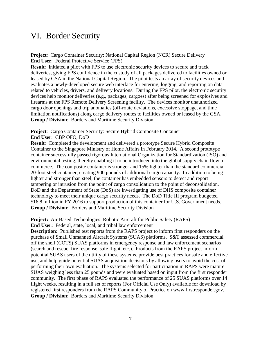### <span id="page-8-0"></span>VI. Border Security

**Project**: Cargo Container Security: National Capital Region (NCR) Secure Delivery **End User**: Federal Protective Service (FPS)

**Result**: Initiated a pilot with FPS to use electronic security devices to secure and track deliveries, giving FPS confidence in the custody of all packages delivered to facilities owned or leased by GSA in the National Capital Region. The pilot tests an array of security devices and evaluates a newly-developed secure web interface for entering, logging, and reporting on data related to vehicles, drivers, and delivery locations. During the FPS pilot, the electronic security devices help monitor deliveries (e.g., packages, cargoes) after being screened for explosives and firearms at the FPS Remote Delivery Screening facility. The devices monitor unauthorized cargo door openings and trip anomalies (off-route deviations, excessive stoppage, and time limitation notifications) along cargo delivery routes to facilities owned or leased by the GSA. **Group / Division**:Borders and Maritime Security Division

**Project**: Cargo Container Security: Secure Hybrid Composite Container **End User**: CBP OFO, DoD

**Result**: Completed the development and delivered a prototype Secure Hybrid Composite Container to the Singapore Ministry of Home Affairs in February 2014. A second prototype container successfully passed rigorous International Organization for Standardization (ISO) and environmental testing, thereby enabling it to be introduced into the global supply chain flow of commerce. The composite container is stronger and 15% lighter than the standard commercial 20-foot steel container, creating 900 pounds of additional cargo capacity. In addition to being lighter and stronger than steel, the container has embedded sensors to detect and report tampering or intrusion from the point of cargo consolidation to the point of deconsolidation. DoD and the Department of State (DoS) are investigating use of DHS composite container technology to meet their unique cargo security needs. The DoD Title III program budgeted \$16.8 million in FY 2016 to support production of this container for U.S. Government needs. **Group / Division:** Borders and Maritime Security Division

**Project:** Air Based Technologies: Robotic Aircraft for Public Safety (RAPS)

**End User:** Federal, state, local, and tribal law enforcement

**Description:** Published test reports from the RAPS project to inform first responders on the purchase of Small Unmanned Aircraft Systems (SUAS) platforms. S&T assessed commercial off the shelf (COTS) SUAS platforms in emergency response and law enforcement scenarios (search and rescue, fire response, safe flight, etc.). Products from the RAPS project inform potential SUAS users of the utility of these systems, provide best practices for safe and effective use, and help guide potential SUAS acquisition decisions by allowing users to avoid the cost of performing their own evaluation. The systems selected for participation in RAPS were mature SUAS weighing less than 25 pounds and were evaluated based on input from the first responder community. The first phase of RAPS evaluated the performance of 25 SUAS platforms over 14 flight weeks, resulting in a full set of reports (For Official Use Only) available for download by registered first responders from the RAPS Community of Practice on www.firstresponder.gov. **Group / Division**: Borders and Maritime Security Division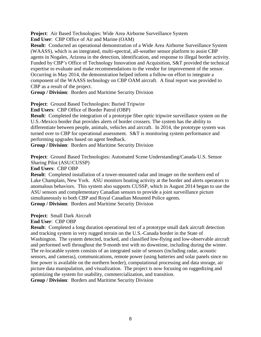**Project**: Air Based Technologies: Wide Area Airborne Surveillance System **End User**: CBP Office of Air and Marine (OAM)

**Result**: Conducted an operational demonstration of a Wide Area Airborne Surveillance System (WAASS), which is an integrated, multi-spectral, all-weather sensor platform to assist CBP agents in Nogales, Arizona in the detection, identification, and response to illegal border activity. Funded by CBP's Office of Technology Innovation and Acquisition, S&T provided the technical expertise to evaluate and make recommendations to the vendor for improvement of the sensor. Occurring in May 2014, the demonstration helped inform a follow-on effort to integrate a component of the WAASS technology on CBP OAM aircraft. A final report was provided to CBP as a result of the project.

**Group / Division**:Borders and Maritime Security Division

**Project**: Ground Based Technologies: Buried Tripwire

**End Users**: CBP Office of Border Patrol (OBP)

**Result**: Completed the integration of a prototype fiber optic tripwire surveillance system on the U.S.-Mexico border that provides alerts of border crossers. The system has the ability to differentiate between people, animals, vehicles and aircraft. In 2014, the prototype system was turned over to CBP for operational assessment. S&T is monitoring system performance and performing upgrades based on agent feedback.

**Group / Division**:Borders and Maritime Security Division

**Project**: Ground Based Technologies: Automated Scene Understanding/Canada-U.S. Sensor Sharing Pilot (ASU/CUSSP)

**End Users**: CBP OBP

**Result**: Completed installation of a tower-mounted radar and imager on the northern end of Lake Champlain, New York. ASU monitors boating activity at the border and alerts operators to anomalous behaviors. This system also supports CUSSP, which in August 2014 began to use the ASU sensors and complementary Canadian sensors to provide a joint surveillance picture simultaneously to both CBP and Royal Canadian Mounted Police agents. **Group / Division**:Borders and Maritime Security Division

**Project**: Small Dark Aircraft **End User**: CBP OBP

**Result**: Completed a long duration operational test of a prototype small dark aircraft detection and tracking system in very rugged terrain on the U.S.-Canada border in the State of Washington. The system detected, tracked, and classified low-flying and low-observable aircraft and performed well throughout the 9-month test with no downtime, including during the winter. The re-locatable system consists of an integrated suite of sensors (including radar, acoustic sensors, and cameras), communications, remote power (using batteries and solar panels since no line power is available on the northern border), computational processing and data storage, air picture data manipulation, and visualization. The project is now focusing on ruggedizing and optimizing the system for usability, commercialization, and transition.

**Group / Division**:Borders and Maritime Security Division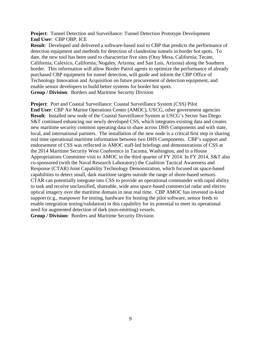**Project**: Tunnel Detection and Surveillance: Tunnel Detection Prototype Development **End User**: CBP OBP, ICE

**Result**: Developed and delivered a software-based tool to CBP that predicts the performance of detection equipment and methods for detection of clandestine tunnels in border hot spots. To date, the new tool has been used to characterize five sites (Otay Mesa, California; Tecate, California; Calexico, California; Nogales, Arizona; and San Luis, Arizona) along the Southern border. This information will allow Border Patrol agents to optimize the performance of already purchased CBP equipment for tunnel detection, will guide and inform the CBP Office of Technology Innovation and Acquisition on future procurement of detection equipment, and enable sensor developers to build better systems for border hot spots. **Group / Division**:Borders and Maritime Security Division

**Project**: Port and Coastal Surveillance: Coastal Surveillance System (CSS) Pilot **End User**: CBP Air Marine Operations Center (AMOC), USCG, other government agencies **Result**: Installed new node of the Coastal Surveillance System at USCG's Sector San Diego. S&T continued enhancing our newly developed CSS, which integrates existing data and creates new maritime security common operating data to share across DHS Components and with state, local, and international partners. The installation of the new node is a critical first step in sharing real time operational maritime information between two DHS Components. CBP's support and endorsement of CSS was reflected in AMOC staff-led briefings and demonstrations of CSS at the 2014 Maritime Security West Conference in Tacoma, Washington, and to a House Appropriations Committee visit to AMOC in the third quarter of FY 2014. In FY 2014, S&T also co-sponsored (with the Naval Research Laboratory) the Coalition Tactical Awareness and Response (CTAR) Joint Capability Technology Demonstration, which focused on space-based capabilities to detect small, dark maritime targets outside the range of shore-based sensors. CTAR can potentially integrate into CSS to provide an operational commander with rapid ability to task and receive unclassified, shareable, wide area space-based commercial radar and electro optical imagery over the maritime domain in near real time. CBP AMOC has invested in-kind support (e.g., manpower for testing, hardware for hosting the pilot software, sensor feeds to enable integration testing/validation) in this capability for its potential to meet its operational need for augmented detection of dark (non-emitting) vessels. **Group / Division:** Borders and Maritime Security Division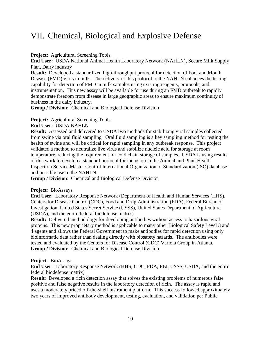### <span id="page-11-0"></span>VII. Chemical, Biological and Explosive Defense

**Project:** Agricultural Screening Tools

**End User:** USDA National Animal Health Laboratory Network (NAHLN), Secure Milk Supply Plan, Dairy industry

**Result:** Developed a standardized high-throughput protocol for detection of Foot and Mouth Disease (FMD) virus in milk. The delivery of this protocol to the NAHLN enhances the testing capability for detection of FMD in milk samples using existing reagents, protocols, and instrumentation. This new assay will be available for use during an FMD outbreak to rapidly demonstrate freedom from disease in large geographic areas to ensure maximum continuity of business in the dairy industry.

**Group / Division:** Chemical and Biological Defense Division

**Project:** Agricultural Screening Tools

**End User:** USDA NAHLN

**Result:** Assessed and delivered to USDA two methods for stabilizing viral samples collected from swine via oral fluid sampling.Oral fluid sampling is a key sampling method for testing the health of swine and will be critical for rapid sampling in any outbreak response. This project validated a method to neutralize live virus and stabilize nucleic acid for storage at room temperature, reducing the requirement for cold chain storage of samples. USDA is using results of this work to develop a standard protocol for inclusion in the Animal and Plant Health Inspection Service Master Control International Organization of Standardization (ISO) database and possible use in the NAHLN.

**Group / Division**: Chemical and Biological Defense Division

### **Project**:BioAssays

**End User**: Laboratory Response Network (Department of Health and Human Services (HHS), Centers for Disease Control (CDC), Food and Drug Administration (FDA), Federal Bureau of Investigation, United States Secret Service (USSS), United States Department of Agriculture (USDA), and the entire federal biodefense matrix)

**Result:** Delivered methodology for developing antibodies without access to hazardous viral proteins. This new proprietary method is applicable to many other Biological Safety Level 3 and 4 agents and allows the Federal Government to make antibodies for rapid detection using only bioinformatic data rather than dealing directly with biosafety hazards. The antibodies were tested and evaluated by the Centers for Disease Control (CDC) Variola Group in Atlanta. **Group / Division:** Chemical and Biological Defense Division

#### **Project**:BioAssays

**End User**: Laboratory Response Network (HHS, CDC, FDA, FBI, USSS, USDA, and the entire federal biodefense matrix)

**Result:** Developed a ricin detection assay that solves the existing problems of numerous false positive and false negative results in the laboratory detection of ricin. The assay is rapid and uses a moderately priced off-the-shelf instrument platform. This success followed approximately two years of improved antibody development, testing, evaluation, and validation per Public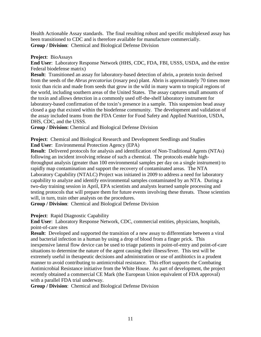Health Actionable Assay standards. The final resulting robust and specific multiplexed assay has been transitioned to CDC and is therefore available for manufacture commercially. **Group / Division**: Chemical and Biological Defense Division

### **Project**:BioAssays

**End User**: Laboratory Response Network (HHS, CDC, FDA, FBI, USSS, USDA, and the entire Federal biodefense matrix)

**Result**: Transitioned an assay for laboratory-based detection of abrin, a protein toxin derived from the seeds of the *Abrus precatorius* (rosary pea) plant. Abrin is approximately 70 times more toxic than ricin and made from seeds that grow in the wild in many warm to tropical regions of the world, including southern areas of the United States. The assay captures small amounts of the toxin and allows detection in a commonly used off-the-shelf laboratory instrument for laboratory-based confirmation of the toxin's presence in a sample. This suspension bead assay closed a gap that existed within the biodefense community. The development and validation of the assay included teams from the FDA Center for Food Safety and Applied Nutrition, USDA, DHS, CDC, and the USSS.

**Group / Division:** Chemical and Biological Defense Division

**Project**:Chemical and Biological Research and Development Seedlings and Studies **End User**: Environmental Protection Agency (EPA)

**Result**: Delivered protocols for analysis and identification of Non-Traditional Agents (NTAs) following an incident involving release of such a chemical. The protocols enable highthroughput analysis (greater than 100 environmental samples per day on a single instrument) to rapidly map contamination and support the recovery of contaminated areas. The NTA Laboratory Capability (NTALC) Project was initiated in 2009 to address a need for laboratory capability to analyze and identify environmental samples contaminated by an NTA. During a two-day training session in April, EPA scientists and analysts learned sample processing and testing protocols that will prepare them for future events involving these threats. Those scientists will, in turn, train other analysts on the procedures.

**Group / Division**: Chemical and Biological Defense Division

**Project**: Rapid Diagnostic Capability

**End User**: Laboratory Response Network, CDC, commercial entities, physicians, hospitals, point-of-care sites

**Result**: Developed and supported the transition of a new assay to differentiate between a viral and bacterial infection in a human by using a drop of blood from a finger prick. This inexpensive lateral flow device can be used to triage patients in point-of-entry and point-of-care situations to determine the nature of the agent causing their illness/fever. This test will be extremely useful in therapeutic decisions and administration or use of antibiotics in a prudent manner to avoid contributing to antimicrobial resistance. This effort supports the Combating Antimicrobial Resistance initiative from the White House. As part of development, the project recently obtained a commercial CE Mark (the European Union equivalent of FDA approval) with a parallel FDA trial underway.

**Group / Division**: Chemical and Biological Defense Division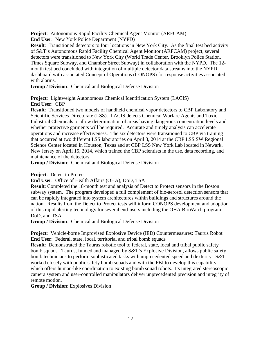**Project**:Autonomous Rapid Facility Chemical Agent Monitor (ARFCAM)

**End User**: New York Police Department (NYPD)

**Result**: Transitioned detectors to four locations in New York City. As the final test bed activity of S&T's Autonomous Rapid Facility Chemical Agent Monitor (ARFCAM) project, several detectors were transitioned to New York City (World Trade Center, Brooklyn Police Station, Times Square Subway, and Chamber Street Subway) in collaboration with the NYPD. The 12 month test bed concluded with integration of multiple detector data streams into the NYPD dashboard with associated Concept of Operations (CONOPS) for response activities associated with alarms.

**Group / Division**: Chemical and Biological Defense Division

**Project**:Lightweight Autonomous Chemical Identification System (LACIS) **End User**:CBP

**Result**: Transitioned two models of handheld chemical vapor detectors to CBP Laboratory and Scientific Services Directorate (LSS). LACIS detects Chemical Warfare Agents and Toxic Industrial Chemicals to allow determination of areas having dangerous concentration levels and whether protective garments will be required. Accurate and timely analysis can accelerate operations and increase effectiveness. The six detectors were transitioned to CBP via training that occurred at two different LSS laboratories on April 3, 2014 at the CBP LSS SW Regional Science Center located in Houston, Texas and at CBP LSS New York Lab located in Newark, New Jersey on April 15, 2014, which trained the CBP scientists in the use, data recording, and maintenance of the detectors.

**Group / Division**: Chemical and Biological Defense Division

**Project**:Detect to Protect

**End User**: Office of Health Affairs (OHA), DoD, TSA

**Result**: Completed the 18-month test and analysis of Detect to Protect sensors in the Boston subway system. The program developed a full complement of bio-aerosol detection sensors that can be rapidly integrated into system architectures within buildings and structures around the nation. Results from the Detect to Protect tests will inform CONOPS development and adoption of this rapid alerting technology for several end-users including the OHA BioWatch program, DoD, and TSA.

**Group / Division**: Chemical and Biological Defense Division

**Project**: Vehicle-borne Improvised Explosive Device (IED) Countermeasures: Taurus Robot **End User**: Federal, state, local, territorial and tribal bomb squads

**Result**: Demonstrated the Taurus robotic tool to federal, state, local and tribal public safety bomb squads. Taurus, funded and managed by S&T's Explosive Division, allows public safety bomb technicians to perform sophisticated tasks with unprecedented speed and dexterity. S&T worked closely with public safety bomb squads and with the FBI to develop this capability, which offers human-like coordination to existing bomb squad robots. Its integrated stereoscopic camera system and user-controlled manipulators deliver unprecedented precision and integrity of remote motion.

**Group / Division**: Explosives Division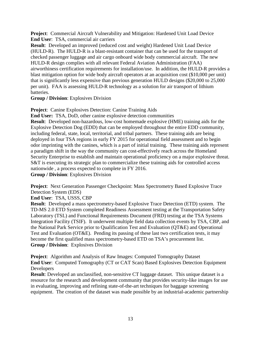**Project**: Commercial Aircraft Vulnerability and Mitigation: Hardened Unit Load Device **End User**: TSA, commercial air carriers

**Result**: Developed an improved (reduced cost and weight) Hardened Unit Load Device (HULD-R). The HULD-R is a blast-resistant container that can be used for the transport of checked passenger luggage and air cargo onboard wide body commercial aircraft. The new HULD-R design complies with all relevant Federal Aviation Administration (FAA) airworthiness certification requirements for installation/use. In addition, the HULD-R provides a blast mitigation option for wide body aircraft operators at an acquisition cost (\$10,000 per unit) that is significantly less expensive than previous generation HULD designs (\$20,000 to 25,000 per unit). FAA is assessing HULD-R technology as a solution for air transport of lithium batteries.

**Group / Division**: Explosives Division

**Project**: Canine Explosives Detection: Canine Training Aids

**End User:** TSA, DoD, other canine explosive detection communities

**Result**: Developed non-hazardous, low-cost homemade explosive (HME) training aids for the Explosive Detection Dog (EDD) that can be employed throughout the entire EDD community, including federal, state, local, territorial, and tribal partners. These training aids are being deployed in four TSA regions in early FY 2015 for operational field assessment and to begin odor imprinting with the canines, which is a part of initial training. These training aids represent a paradigm shift in the way the community can cost-effectively reach across the Homeland Security Enterprise to establish and maintain operational proficiency on a major explosive threat. S&T is executing its strategic plan to commercialize these training aids for controlled access nationwide , a process expected to complete in FY 2016.

**Group / Division**: Explosives Division

**Project**: Next Generation Passenger Checkpoint: Mass Spectrometry Based Explosive Trace Detection System (EDS)

**End User**: TSA, USSS, CBP

**Result**: Developed a mass spectrometry-based Explosive Trace Detection (ETD) system. The TD-MS 2.0 ETD System completed Readiness Assessment testing at the Transportation Safety Laboratory (TSL) and Functional Requirements Document (FRD) testing at the TSA Systems Integration Facility (TSIF). It underwent multiple field data collection events by TSA, CBP, and the National Park Service prior to Qualification Test and Evaluation (QT&E) and Operational Test and Evaluation (OT&E). Pending its passing of these last two certification tests, it may become the first qualified mass spectrometry-based ETD on TSA's procurement list. **Group / Division**: Explosives Division

**Project**: Algorithm and Analysis of Raw Images: Computed Tomography Dataset **End User**: Computed Tomography (CT or CAT Scan) Based Explosives Detection Equipment Developers

**Result**: Developed an unclassified, non-sensitive CT luggage dataset. This unique dataset is a resource for the research and development community that provides security-like images for use in evaluating, improving and refining state-of-the-art techniques for baggage screening equipment. The creation of the dataset was made possible by an industrial-academic partnership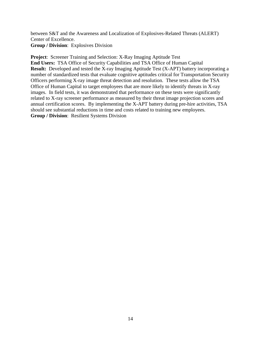between S&T and the Awareness and Localization of Explosives-Related Threats (ALERT) Center of Excellence. **Group / Division**: Explosives Division

**Project**: Screener Training and Selection: X-Ray Imaging Aptitude Test **End Users:** TSA Office of Security Capabilities and TSA Office of Human Capital **Result:** Developed and tested the X-ray Imaging Aptitude Test (X-APT) battery incorporating a number of standardized tests that evaluate cognitive aptitudes critical for Transportation Security Officers performing X-ray image threat detection and resolution. These tests allow the TSA Office of Human Capital to target employees that are more likely to identify threats in X-ray images. In field tests, it was demonstrated that performance on these tests were significantly related to X-ray screener performance as measured by their threat image projection scores and annual certification scores. By implementing the X-APT battery during pre-hire activities, TSA should see substantial reductions in time and costs related to training new employees. **Group / Division**: Resilient Systems Division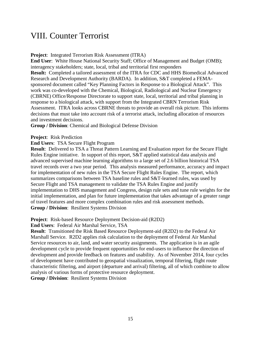### <span id="page-16-0"></span>VIII. Counter Terrorist

**Project**:Integrated Terrorism Risk Assessment (ITRA)

**End User**: White House National Security Staff; Office of Management and Budget (OMB); interagency stakeholders; state, local, tribal and territorial first responders **Result:** Completed a tailored assessment of the ITRA for CDC and HHS Biomedical Advanced Research and Development Authority (BARDA). In addition, S&T completed a FEMAsponsored document called "Key Planning Factors in Response to a Biological Attack". This work was co-developed with the Chemical, Biological, Radiological and Nuclear Emergency (CBRNE) Office/Response Directorate to support state, local, territorial and tribal planning in response to a biological attack, with support from the Integrated CBRN Terrorism Risk Assessment. ITRA looks across CBRNE threats to provide an overall risk picture. This informs decisions that must take into account risk of a terrorist attack, including allocation of resources and investment decisions.

**Group / Division**: Chemical and Biological Defense Division

**Project**: Risk Prediction

**End Users**: TSA Secure Flight Program

**Result**: Delivered to TSA a Threat Pattern Learning and Evaluation report for the Secure Flight Rules Engine initiative. In support of this report, S&T applied statistical data analysis and advanced supervised machine learning algorithms to a large set of 2.6 billion historical TSA travel records over a two year period. This analysis measured performance, accuracy and impact for implementation of new rules in the TSA Secure Flight Rules Engine. The report, which summarizes comparisons between TSA baseline rules and S&T-learned rules, was used by Secure Flight and TSA management to validate the TSA Rules Engine and justify implementation to DHS management and Congress, design rule sets and tune rule weights for the initial implementation, and plan for future implementation that takes advantage of a greater range of travel features and more complex combination rules and risk assessment methods. **Group / Division**: Resilient Systems Division

**Project**: Risk-based Resource Deployment Decision-aid (R2D2)

**End Users**: Federal Air Marshal Service, TSA

**Result**: Transitioned the Risk Based Resource Deployment-aid (R2D2) to the Federal Air Marshall Service. R2D2 applies risk calculation to the deployment of Federal Air Marshal Service resources to air, land, and water security assignments. The application is in an agile development cycle to provide frequent opportunities for end-users to influence the direction of development and provide feedback on features and usability. As of November 2014, four cycles of development have contributed to geospatial visualization, temporal filtering, flight route characteristic filtering, and airport (departure and arrival) filtering, all of which combine to allow analysis of various forms of protective resource deployment.

**Group / Division**: Resilient Systems Division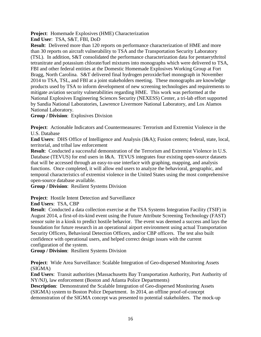**Project**: Homemade Explosives (HME) Characterization

**End User**: TSA, S&T, FBI, DoD

**Result**: Delivered more than 120 reports on performance characterization of HME and more than 30 reports on aircraft vulnerability to TSA and the Transportation Security Laboratory (TSL). In addition, S&T consolidated the performance characterization data for pentaerythritol tetranitrate and potassium chlorate/fuel mixtures into monographs which were delivered to TSA, FBI and other federal entities at the Domestic Homemade Explosives Working Group at Fort Bragg, North Carolina. S&T delivered final hydrogen peroxide/fuel monograph in November 2014 to TSA, TSL, and FBI at a joint stakeholders meeting. These monographs are knowledge products used by TSA to inform development of new screening technologies and requirements to mitigate aviation security vulnerabilities regarding HME. This work was performed at the National Explosives Engineering Sciences Security (NEXESS) Center, a tri-lab effort supported by Sandia National Laboratories, Lawrence Livermore National Laboratory, and Los Alamos National Laboratory.

**Group / Division**: Explosives Division

**Project**: Actionable Indicators and Countermeasures: Terrorism and Extremist Violence in the U.S. Database

**End Users**:DHS Office of Intelligence and Analysis (I&A); Fusion centers; federal, state, local, territorial, and tribal law enforcement

**Result:** Conducted a successful demonstration of the Terrorism and Extremist Violence in U.S. Database (TEVUS) for end users in I&A. TEVUS integrates four existing open-source datasets that will be accessed through an easy-to-use interface with graphing, mapping, and analysis functions. Once completed, it will allow end users to analyze the behavioral, geographic, and temporal characteristics of extremist violence in the United States using the most comprehensive open-source database available.

**Group / Division**: Resilient Systems Division

**Project**: Hostile Intent Detection and Surveillance

**End Users**:TSA, CBP

**Result:** Conducted a data collection exercise at the TSA Systems Integration Facility (TSIF) in August 2014, a first-of-its-kind event using the Future Attribute Screening Technology (FAST) sensor suite in a kiosk to predict hostile behavior. The event was deemed a success and lays the foundation for future research in an operational airport environment using actual Transportation Security Officers, Behavioral Detection Officers, and/or CBP officers. The test also built confidence with operational users, and helped correct design issues with the current configuration of the system.

**Group / Division**: Resilient Systems Division

**Project**:Wide Area Surveillance: Scalable Integration of Geo-dispersed Monitoring Assets (SIGMA)

**End Users**:Transit authorities (Massachusetts Bay Transportation Authority, Port Authority of NY/NJ), law enforcement (Boston and Atlanta Police Departments)

**Description:** Demonstrated the Scalable Integration of Geo-dispersed Monitoring Assets (SIGMA) system to Boston Police Department. In 2014, an offline proof-of-concept demonstration of the SIGMA concept was presented to potential stakeholders. The mock-up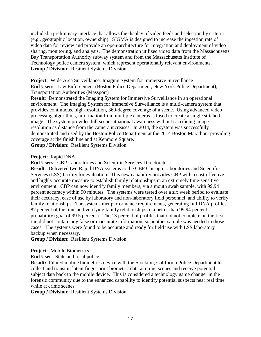included a preliminary interface that allows the display of video feeds and selection by criteria (e.g., geographic location, ownership). SIGMA is designed to increase the ingestion rate of video data for review and provide an open-architecture for integration and deployment of video sharing, monitoring, and analysis. The demonstration utilized video data from the Massachusetts Bay Transportation Authority subway system and from the Massachusetts Institute of Technology police camera system, which represent operationally relevant environments. **Group / Division**: Resilient Systems Division

**Project**: Wide Area Surveillance: Imaging System for Immersive Surveillance **End Users**: Law Enforcement (Boston Police Department, New York Police Department), Transportation Authorities (Massport)

**Result**: Demonstrated the Imaging System for Immersive Surveillance in an operational environment. The Imaging System for Immersive Surveillance is a multi-camera system that provides continuous, high-resolution, 360-degree coverage of a scene. Using advanced video processing algorithms, information from multiple cameras is fused to create a single stitched image. The system provides full scene situational awareness without sacrificing image resolution as distance from the camera increases. In 2014, the system was successfully demonstrated and used by the Boston Police Department at the 2014 Boston Marathon, providing coverage at the finish line and at Kenmore Square.

**Group / Division**: Resilient Systems Division

#### **Project**: Rapid DNA

**End Users**: CBP Laboratories and Scientific Services Directorate

**Result**:Delivered two Rapid DNA systems to the CBP Chicago Laboratories and Scientific Services (LSS) facility for evaluation. This new capability provides CBP with a cost-effective and highly accurate measure to establish family relationships in an extremely time-sensitive environment. CBP can now identify family members, via a mouth swab sample, with 99.94 percent accuracy within 90 minutes. The systems were tested over a six week period to evaluate their accuracy, ease of use by laboratory and non-laboratory field personnel, and ability to verify family relationships. The systems met performance requirements, generating full DNA profiles 87 percent of the time and verifying family relationships to a better than 99.94 percent probability (goal of 99.5 percent). The 13 percent of profiles that did not complete on the first run did not contain any false or inaccurate information, so another sample was needed in those cases. The systems were found to be accurate and ready for field use with LSS laboratory backup when necessary.

**Group / Division**: Resilient Systems Division

#### **Project**: Mobile Biometrics

**End User**: State and local police

**Result:** Piloted mobile biometrics device with the Stockton, California Police Department to collect and transmit latent finger print biometric data at crime scenes and receive potential subject data back to the mobile device. This is considered a technology game changer in the forensic community due to the enhanced capability to identify potential suspects near real time while at crime scenes.

**Group / Division**: Resilient Systems Division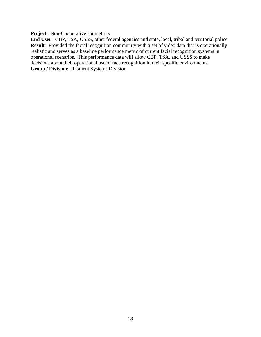**Project**: Non-Cooperative Biometrics

**End User**: CBP, TSA, USSS, other federal agencies and state, local, tribal and territorial police **Result:** Provided the facial recognition community with a set of video data that is operationally realistic and serves as a baseline performance metric of current facial recognition systems in operational scenarios. This performance data will allow CBP, TSA, and USSS to make decisions about their operational use of face recognition in their specific environments. **Group / Division**: Resilient Systems Division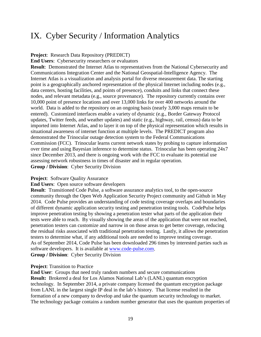### <span id="page-20-0"></span>IX. Cyber Security / Information Analytics

**Project**: Research Data Repository (PREDICT)

**End Users**: Cybersecurity researchers or evaluators

**Result**: Demonstrated the Internet Atlas to representatives from the National Cybersecurity and Communications Integration Center and the National Geospatial-Intelligence Agency. The Internet Atlas is a visualization and analysis portal for diverse measurement data. The starting point is a geographically anchored representation of the physical Internet including nodes (e.g., data centers, hosting facilities, and points of presence), conduits and links that connect these nodes, and relevant metadata (e.g., source provenance). The repository currently contains over 10,000 point of presence locations and over 13,000 links for over 400 networks around the world. Data is added to the repository on an ongoing basis (nearly 3,000 maps remain to be entered). Customized interfaces enable a variety of dynamic (e.g., Border Gateway Protocol updates, Twitter feeds, and weather updates) and static (e.g., highway, rail, census) data to be imported into Internet Atlas, and to layer it on top of the physical representation which results in situational awareness of internet function at multiple levels. The PREDICT program also demonstrated the Trinocular outage detection system to the Federal Communications Commission (FCC). Trinocular learns current network states by probing to capture information over time and using Bayesian inference to determine status. Trinocular has been operating 24x7 since December 2013, and there is ongoing work with the FCC to evaluate its potential use assessing network robustness in times of disaster and in regular operation. **Group / Division**: Cyber Security Division

#### **Project:** Software Quality Assurance

**End Users**: Open source software developers

**Result**: Transitioned Code Pulse, a software assurance analytics tool, to the open-source community through the Open Web Application Security Project community and Github in May 2014. Code Pulse provides an understanding of code testing coverage overlaps and boundaries of different dynamic application security testing and penetration testing tools. CodePulse helps improve penetration testing by showing a penetration tester what parts of the application their tests were able to reach. By visually showing the areas of the application that were not reached, penetration testers can customize and narrow in on those areas to get better coverage, reducing the residual risks associated with traditional penetration testing. Lastly, it allows the penetration testers to determine what, if any additional tools are needed to improve testing coverage. As of September 2014, Code Pulse has been downloaded 296 times by interested parties such as software developers. It is available at [www.code-pulse.com.](http://www.code-pulse.com/) **Group / Division**: Cyber Security Division

#### **Project**: Transition to Practice

**End User**: Groups that need truly random numbers and secure communications **Result:** Brokered a deal for Los Alamos National Lab's (LANL) quantum encryption technology. In September 2014, a private company licensed the quantum encryption package from LANL in the largest single IP deal in the lab's history. That license resulted in the formation of a new company to develop and take the quantum security technology to market. The technology package contains a random number generator that uses the quantum properties of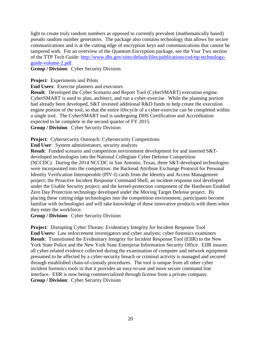light to create truly random numbers as opposed to currently prevalent (mathematically based) pseudo random number generators. The package also contains technology that allows for secure communications and is at the cutting edge of encryption keys and communications that cannot be tampered with. For an overview of the Quantum Encryption package, see the Year Two section of the TTP Tech Guide: [http://www.dhs.gov/sites/default/files/publications/csd-ttp-technology](http://www.dhs.gov/sites/default/files/publications/csd-ttp-technology-guide-volume-2.pdf)[guide-volume-2.pdf.](http://www.dhs.gov/sites/default/files/publications/csd-ttp-technology-guide-volume-2.pdf)

**Group / Division**: Cyber Security Division

**Project:** Experiments and Pilots

**End Users**: Exercise planners and executors

**Result**: Developed the Cyber Scenario and Report Tool (CyberSMART) execution engine. CyberSMART is used to plan, architect, and run a cyber-exercise. While the planning portion had already been developed, S&T invested additional R&D funds to help create the execution engine portion of the tool, so that the entire lifecycle of a cyber-exercise can be completed within a single tool. The CyberSMART tool is undergoing DHS Certification and Accreditation expected to be complete in the second quarter of FY 2015.

**Group / Division**: Cyber Security Division

**Project:** Cybersecurity Outreach: Cybersecurity Competitions

**End User**: System administrators, security analysts

**Result**: Funded scenario and competition environment development for and inserted S&Tdeveloped technologies into the National Collegiate Cyber Defense Competition (NCCDC). During the 2014 NCCDC in San Antonio, Texas, three S&T-developed technologies were incorporated into the competition: the Backend Attribute Exchange Protocol for Personal Identity Verification Interoperable (PIV-I) cards from the Identity and Access Management project; the Proactive Incident Response Command Shell, an incident response tool developed under the Usable Security project; and the kernel-protection component of the Hardware Enabled Zero Day Protection technology developed under the Moving Target Defense project. By placing these cutting edge technologies into the competition environment, participants become familiar with technologies and will take knowledge of these innovative products with them when they enter the workforce.

**Group / Division**: Cyber Security Division

**Project**: Disrupting Cyber Threats: Evidentiary Integrity for Incident Response Tool **End Users:** Law enforcement investigators and cyber analysts; cyber forensics examiners **Result**: Transitioned the Evidentiary Integrity for Incident Response Tool (EIIR) to the New York State Police and the New York State Enterprise Information Security Office. EIIR insures all cyber-related evidence collected during the examination of computer and network equipment presumed to be affected by a cyber-security breach or criminal activity is managed and secured through established chain-of-custody procedures. The tool is unique from all other cyber incident forensics tools in that it provides an easy-to-use and more secure command line interface. EIIR is now being commercialized through license from a private company. **Group / Division**: Cyber Security Division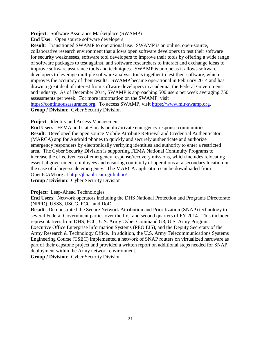**Project**: Software Assurance Marketplace (SWAMP)

**End User**: Open source software developers

**Result**: Transitioned SWAMP to operational use. SWAMP is an online, open-source, collaborative research environment that allows open software developers to test their software for security weaknesses, software tool developers to improve their tools by offering a wide range of software packages to test against, and software researchers to interact and exchange ideas to improve software assurance tools and techniques. SWAMP is unique as it allows software developers to leverage multiple software analysis tools together to test their software, which improves the accuracy of their results. SWAMP became operational in February 2014 and has drawn a great deal of interest from software developers in academia, the Federal Government and industry. As of December 2014, SWAMP is approaching 500 users per week averaging 750 assessments per week. For more information on the SWAMP, visit

[https://continuousassurance.org.](http://www.dhs.gov/redirect?url=https%3A%2F%2Fcontinuousassurance.org%2F) To access SWAMP, visit [https://www.mir-swamp.org.](http://www.dhs.gov/redirect?url=https%3A%2F%2Fwww.mir-swamp.org%2F) **Group / Division**: Cyber Security Division

#### **Project**:Identity and Access Management

**End Users**: FEMA and state/locals public/private emergency response communities **Result**: Developed the open source Mobile Attribute Retrieval and Credential Authenticator (MARCA) app for Android phones to quickly and securely authenticate and authorize emergency responders by electronically verifying identities and authority to enter a restricted area. The Cyber Security Division is supporting FEMA National Continuity Programs to increase the effectiveness of emergency response/recovery missions, which includes relocating essential government employees and ensuring continuity of operations at a secondary location in the case of a large-scale emergency. The MARCA application can be downloaded from OpenICAM.org at <http://jhuapl-icam.github.io/>

**Group / Division**: Cyber Security Division

#### **Project**:Leap-Ahead Technologies

**End Users**: Network operators including the DHS National Protection and Programs Directorate (NPPD), USSS, USCG, FCC, and DoD

**Result**: Demonstrated the Secure Network Attribution and Prioritization (SNAP) technology to several Federal Government parties over the first and second quarters of FY 2014. This included representatives from DHS, FCC, U.S. Army Cyber Command G3, U.S. Army Program Executive Office Enterprise Information Systems (PEO EIS), and the Deputy Secretary of the Army Research & Technology Office. In addition, the U.S. Army Telecommunications Systems Engineering Course (TSEC) implemented a network of SNAP routers on virtualized hardware as part of their capstone project and provided a written report on additional steps needed for SNAP deployment within the Army network environment.

**Group / Division**: Cyber Security Division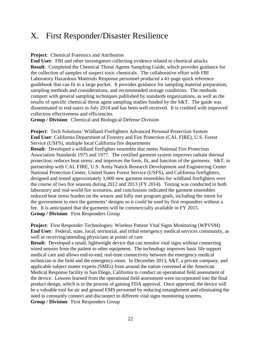### <span id="page-23-0"></span>X. First Responder/Disaster Resilience

**Project**:Chemical Forensics and Attribution

**End User**:FBI and other investigators collecting evidence related to chemical attacks **Result**: Completed the Chemical Threat Agents Sampling Guide, which provides guidance for the collection of samples of suspect toxic chemicals. The collaborative effort with FBI Laboratory Hazardous Materials Response personnel produced a 41-page quick reference guidebook that can fit in a large pocket. It provides guidance for sampling material preparation, sampling methods and considerations, and recommended storage conditions. The methods comport with general sampling techniques published by standards organizations, as well as the results of specific chemical threat agent sampling studies funded by the S&T. The guide was disseminated to end-users in July 2014 and has been well-received. It is credited with improved collection effectiveness and efficiencies.

**Group / Division**:Chemical and Biological Defense Division

**Project**: Tech Solutions: Wildland Firefighters Advanced Personal Protection System **End User**: California Department of Forestry and Fire Protection (CAL FIRE), U.S. Forest Service (USFS), multiple local California fire departments

**Result**: Developed a wildland firefighter ensemble that meets National Fire Protection Association Standards 1975 and 1977. The certified garment system improves radiant thermal protection; reduces heat stress; and improves the form, fit, and function of the garments. S&T, in partnership with CAL FIRE, U.S. Army Natick Research Development and Engineering Center National Protection Center, United States Forest Service (USFS), and California firefighters, designed and tested approximately 1,000 new garment ensembles for wildland firefighters over the course of two fire seasons during 2012 and 2013 (FY 2014). Testing was conducted in both laboratory and real-world fire scenarios, and conclusions indicated the garment ensembles reduced heat stress burden on the wearer and fully met program goals, including the intent for the government to own the garments' designs so it could be used by first responders without a fee. It is anticipated that the garments will be commercially available in FY 2015. **Group / Division**:First Responders Group

**Project**: First Responder Technologies: Wireless Patient Vital Signs Monitoring (WPVSM) **End User**: Federal, state, local, territorial, and tribal emergency medical services community, as well as receiving/attending physicians at points of care

**Result:** Developed a small, lightweight device that can monitor vital signs without connecting wired sensors from the patient to other equipment. The technology improves basic life support medical care and allows end-to-end, real-time connectivity between the emergency medical technician in the field and the emergency room. In December 2013, S&T, a private company, and applicable subject matter experts (SMEs) from around the nation convened at the American Medical Response facility in San Diego, California to conduct an operational field assessment of the device. Lessons learned from the operational field assessment were incorporated into the final product design, which is in the process of gaining FDA approval. Once approved, the device will be a valuable tool for air and ground EMS personnel by reducing entanglement and eliminating the need to constantly connect and disconnect to different vital signs monitoring systems. **Group / Division**: First Responders Group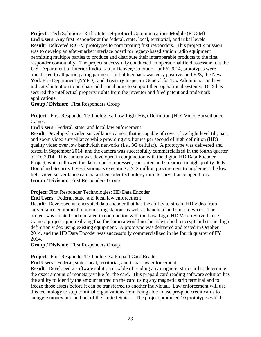**Project**: Tech Solutions: Radio Internet-protocol Communications Module (RIC-M) **End Users**: Any first responder at the federal, state, local, territorial, and tribal levels **Result**: Delivered RIC-M prototypes to participating first responders. This project's mission was to develop an after-market interface board for legacy-based station radio equipment permitting multiple parties to produce and distribute their interoperable products to the first responder community. The project successfully conducted an operational field assessment at the U.S. Department of Interior Radio Lab in Denver, Colorado. In FY 2014, prototypes were transferred to all participating partners. Initial feedback was very positive, and FPS, the New York Fire Department (NYFD), and Treasury Inspector General for Tax Administration have indicated intention to purchase additional units to support their operational systems. DHS has secured the intellectual property rights from the inventor and filed patent and trademark applications.

**Group / Division**:First Responders Group

**Project**: First Responder Technologies: Low-Light High Definition (HD) Video Surveillance Camera

**End Users**: Federal, state, and local law enforcement

**Result**: Developed a video surveillance camera that is capable of covert, low light level tilt, pan, and zoom video surveillance while providing six frames per second of high definition (HD) quality video over low bandwidth networks (i.e., 3G cellular). A prototype was delivered and tested in September 2014, and the camera was successfully commercialized in the fourth quarter of FY 2014. This camera was developed in conjunction with the digital HD Data Encoder Project, which allowed the data to be compressed, encrypted and streamed in high quality. ICE Homeland Security Investigations is executing a \$12 million procurement to implement the low light video surveillance camera and encoder technology into its surveillance operations. **Group / Division**: First Responders Group

**Project**: First Responder Technologies: HD Data Encoder

**End Users**: Federal, state, and local law enforcement

**Result:** Developed an encrypted data encoder that has the ability to stream HD video from surveillance equipment to monitoring stations as well as handheld and smart devices. The project was created and operated in conjunction with the Low-Light HD Video Surveillance Camera project upon realizing that the camera would not be able to both encrypt and stream high definition video using existing equipment. A prototype was delivered and tested in October 2014, and the HD Data Encoder was successfully commercialized in the fourth quarter of FY 2014.

**Group / Division**:First Responders Group

**Project**: First Responder Technologies: Prepaid Card Reader

**End Users**: Federal, state, local, territorial, and tribal law enforcement

**Result:** Developed a software solution capable of reading any magnetic strip card to determine the exact amount of monetary value for the card. This prepaid card reading software solution has the ability to identify the amount stored on the card using any magnetic strip terminal and to freeze those assets before it can be transferred to another individual. Law enforcement will use this technology to stop criminal organizations from being able to use pre-paid credit cards to smuggle money into and out of the United States. The project produced 10 prototypes which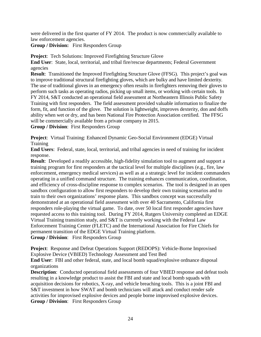were delivered in the first quarter of FY 2014. The product is now commercially available to law enforcement agencies.

**Group / Division:** First Responders Group

**Project**: Tech Solutions: Improved Firefighting Structure Glove

**End User**:State, local, territorial, and tribal fire/rescue departments; Federal Government agencies

**Result**: Transitioned the Improved Firefighting Structure Glove (FFSG). This project's goal was to improve traditional structural firefighting gloves, which are bulky and have limited dexterity. The use of traditional gloves in an emergency often results in firefighters removing their gloves to perform such tasks as operating radios, picking up small items, or working with certain tools. In FY 2014, S&T conducted an operational field assessment at Northeastern Illinois Public Safety Training with first responders. The field assessment provided valuable information to finalize the form, fit, and function of the glove. The solution is lightweight, improves dexterity, don and doffs ability when wet or dry, and has been National Fire Protection Association certified. The FFSG will be commercially available from a private company in 2015.

**Group / Division**: First Responders Group

**Project**: Virtual Training: Enhanced Dynamic Geo-Social Environment (EDGE) Virtual Training

**End Users**: Federal, state, local, territorial, and tribal agencies in need of training for incident response.

**Result**: Developed a readily accessible, high-fidelity simulation tool to augment and support a training program for first responders at the tactical level for multiple disciplines (e.g., fire, law enforcement, emergency medical services) as well as at a strategic level for incident commanders operating in a unified command structure. The training enhances communication, coordination, and efficiency of cross-discipline response to complex scenarios. The tool is designed in an open sandbox configuration to allow first responders to develop their own training scenarios and to train to their own organizations' response plans. This sandbox concept was successfully demonstrated at an operational field assessment with over 40 Sacramento, California first responders role-playing the virtual game. To date, over 50 local first responder agencies have requested access to this training tool. During FY 2014, Rutgers University completed an EDGE Virtual Training transition study, and S&T is currently working with the Federal Law Enforcement Training Center (FLETC) and the International Association for Fire Chiefs for permanent transition of the EDGE Virtual Training platform. **Group / Division**:First Responders Group

**Project**: Response and Defeat Operations Support (REDOPS): Vehicle-Borne Improvised Explosive Device (VBIED) Technology Assessment and Test Bed

**End User**: FBI and other federal, state, and local bomb squad/explosive ordnance disposal organizations

**Description:** Conducted operational field assessments of four VBIED response and defeat tools resulting in a knowledge product to assist the FBI and state and local bomb squads with acquisition decisions for robotics, X-ray, and vehicle breaching tools. This is a joint FBI and S&T investment in how SWAT and bomb technicians will attack and conduct render safe activities for improvised explosive devices and people borne improvised explosive devices. **Group / Division**: First Responders Group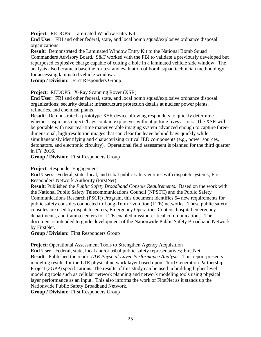**Project**: REDOPS: Laminated Window Entry Kit

**End User**: FBI and other federal, state, and local bomb squad/explosive ordnance disposal organizations

**Result**: Demonstrated the Laminated Window Entry Kit to the National Bomb Squad Commanders Advisory Board. S&T worked with the FBI to validate a previously developed but repurposed explosive charge capable of cutting a hole in a laminated vehicle side window. The analysis also became a baseline for test and evaluation of bomb squad technician methodology for accessing laminated vehicle windows.

**Group / Division**:First Responders Group

**Project**: REDOPS: X-Ray Scanning Rover (XSR)

**End User**: FBI and other federal, state, and local bomb squad/explosive ordnance disposal organizations; security details; infrastructure protection details at nuclear power plants, refineries, and chemical plants

**Result:** Demonstrated a prototype XSR device allowing responders to quickly determine whether suspicious objects/bags contain explosives without putting lives at risk. The XSR will be portable with near real-time maneuverable imaging system advanced enough to capture threedimensional, high-resolution images that can clear the leave behind bags quickly while simultaneously identifying and characterizing critical IED components (e.g., power sources, detonators, and electronic circuitry). Operational field assessment is planned for the third quarter in FY 2016.

**Group / Division**: First Responders Group

#### **Project**: Responder Engagement

**End Users**: Federal, state, local, and tribal public safety entities with dispatch systems; First Responders Network Authority (FirstNet)

**Result**: Published the *Public Safety Broadband Console Requirements*. Based on the work with the National Public Safety Telecommunications Council (NPSTC) and the Public Safety Communications Research (PSCR) Program, this document identifies 54 new requirements for public safety consoles connected to Long-Term Evolution (LTE) networks. These public safety consoles are used by dispatch centers, Emergency Operations Centers, hospital emergency departments, and trauma centers for LTE-enabled mission-critical communications. The document is intended to guide development of the Nationwide Public Safety Broadband Network by FirstNet.

**Group / Division**:First Responders Group

**Project**: Operational Assessment Tools to Strengthen Agency Acquisition

**End User**: Federal, state, local and/or tribal public safety representatives; FirstNet **Result**: Published the report *LTE Physcial Layer Performance Analysis.* This report presents modeling results for the LTE physical network layer based upon Third Generation Partnership Project (3GPP) specifications. The results of this study can be used in building higher level modeling tools such as cellular network planning and network modeling tools using physical layer performance as an input. This also informs the work of FirstNet as it stands up the Nationwide Public Safety Broadband Network.

**Group / Division**:First Responders Group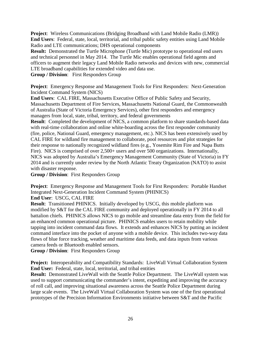**Project**: Wireless Communications (Bridging Broadband with Land Mobile Radio (LMR)) **End Users**: Federal, state, local, territorial, and tribal public safety entities using Land Mobile Radio and LTE communications; DHS operational components

**Result:** Demonstrated the Turtle Microphone (Turtle Mic) prototype to operational end users and technical personnel in May 2014. The Turtle Mic enables operational field agents and officers to augment their legacy Land Mobile Radio networks and devices with new, commercial LTE broadband capabilities for extended video and data use.

**Group / Division**:First Responders Group

**Project:** Emergency Response and Management Tools for First Responders: Next-Generation Incident Command System (NICS)

**End Users**: CAL FIRE, Massachusetts Executive Office of Public Safety and Security, Massachusetts Department of Fire Services, Massachusetts National Guard, the Commonwealth of Australia (State of Victoria Emergency Services), other first responders and emergency managers from local, state, tribal, territory, and federal governments

**Result:** Completed the development of NICS, a common platform to share standards-based data with real-time collaboration and online white-boarding across the first responder community (fire, police, National Guard, emergency management, etc.). NICS has been extensively used by CAL FIRE for wildland fire management to collaborate, pool resources and plot strategies for their response to nationally recognized wildland fires (e.g., Yosemite Rim Fire and Napa Butts Fire). NICS is comprised of over 2,500+ users and over 500 organizations. Internationally, NICS was adopted by Australia's Emergency Management Community (State of Victoria) in FY 2014 and is currently under review by the North Atlantic Treaty Organization (NATO) to assist with disaster response.

**Group / Division**:First Responders Group

**Project**:Emergency Response and Management Tools for First Responders: Portable Handset Integrated Next-Generation Incident Command System (PHINICS)

**End User**: USCG, CAL FIRE

**Result**: Transitioned PHINICS. Initially developed by USCG, this mobile platform was modified by S&T for the CAL FIRE community and deployed operationally in FY 2014 to all battalion chiefs. PHINICS allows NICS to go mobile and streamline data entry from the field for an enhanced common operational picture. PHINICS enables users to retain mobility while tapping into incident command data flows. It extends and enhances NICS by putting an incident command interface into the pocket of anyone with a mobile device. This includes two-way data flows of blue force tracking, weather and maritime data feeds, and data inputs from various camera feeds or Bluetooth enabled sensors.

**Group / Division**: First Responders Group

**Project:** Interoperability and Compatibility Standards: LiveWall Virtual Collaboration System **End User:** Federal, state, local, territorial, and tribal entities

**Result:** Demonstrated LiveWall with the Seattle Police Department. The LiveWall system was used to support communicating the commander's intent, expediting and improving the accuracy of roll call, and improving situational awareness across the Seattle Police Department during large scale events. The LiveWall Virtual Collaboration System was one of the first operational prototypes of the Precision Information Environments initiative between S&T and the Pacific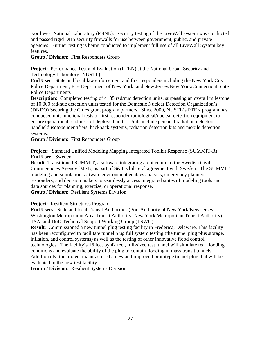Northwest National Laboratory (PNNL). Security testing of the LiveWall system was conducted and passed rigid DHS security firewalls for use between government, public, and private agencies. Further testing is being conducted to implement full use of all LiveWall System key features.

**Group / Division**:First Responders Group

**Project:** Performance Test and Evaluation (PTEN) at the National Urban Security and Technology Laboratory (NUSTL)

**End User**:State and local law enforcement and first responders including the New York City Police Department, Fire Department of New York, and New Jersey/New York/Connecticut State Police Departments

**Description:** Completed testing of 4135 rad/nuc detection units, surpassing an overall milestone of 10,000 rad/nuc detection units tested for the Domestic Nuclear Detection Organization's (DNDO) Securing the Cities grant program partners. Since 2009, NUSTL's PTEN program has conducted unit functional tests of first responder radiological/nuclear detection equipment to ensure operational readiness of deployed units. Units include personal radiation detectors, handheld isotope identifiers, backpack systems, radiation detection kits and mobile detection systems.

**Group / Division**:First Responders Group

**Project**: Standard Unified Modeling Mapping Integrated Toolkit Response (SUMMIT-R) **End User**: Sweden

**Result**: Transitioned SUMMIT, a software integrating architecture to the Swedish Civil Contingencies Agency (MSB) as part of S&T's bilateral agreement with Sweden. The SUMMIT modeling and simulation software environment enables analysts, emergency planners, responders, and decision makers to seamlessly access integrated suites of modeling tools and data sources for planning, exercise, or operational response.

**Group / Division**:Resilient Systems Division

**Project**: Resilient Structures Program

**End Users**: State and local Transit Authorities (Port Authority of New York/New Jersey, Washington Metropolitan Area Transit Authority, New York Metropolitan Transit Authority), TSA, and DoD Technical Support Working Group (TSWG)

**Result**: Commissioned a new tunnel plug testing facility in Frederica, Delaware. This facility has been reconfigured to facilitate tunnel plug full system testing (the tunnel plug plus storage, inflation, and control systems) as well as the testing of other innovative flood control technologies. The facility's 16 feet by 42 feet, full-sized test tunnel will simulate real flooding conditions and evaluate the ability of the plug to contain flooding in mass transit tunnels. Additionally, the project manufactured a new and improved prototype tunnel plug that will be evaluated in the new test facility.

**Group / Division**:Resilient Systems Division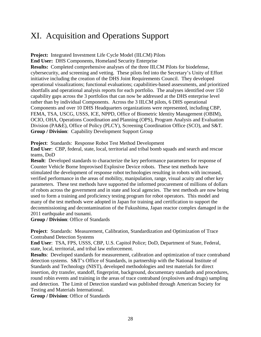### <span id="page-29-0"></span>XI. Acquisition and Operations Support

**Project:** Integrated Investment Life Cycle Model (IILCM) Pilots

**End User:** DHS Components, Homeland Security Enterprise

**Results:** Completed comprehensive analyses of the three IILCM Pilots for biodefense, cybersecurity, and screening and vetting. These pilots fed into the Secretary's Unity of Effort initiative including the creation of the DHS Joint Requirements Council. They developed operational visualizations; functional evaluations; capabilities-based assessments, and prioritized shortfalls and operational analysis reports for each portfolio. The analyses identified over 150 capability gaps across the 3 portfolios that can now be addressed at the DHS enterprise level rather than by individual Components. Across the 3 IILCM pilots, 6 DHS operational Components and over 10 DHS Headquarters organizations were represented, including CBP, FEMA, TSA, USCG, USSS, ICE, NPPD, Office of Biometric Identity Management (OBIM), OCIO, OHA, Operations Coordination and Planning (OPS), Program Analysis and Evaluation Division (PA&E), Office of Policy (PLCY), Screening Coordination Office (SCO), and S&T. **Group / Division**:Capability Development Support Group

**Project**:Standards: Response Robot Test Method Development

**End User**:CBP, federal, state, local, territorial and tribal bomb squads and search and rescue teams, DoD

**Result**: Developed standards to characterize the key performance parameters for response of Counter Vehicle Borne Improvised Explosive Device robots. These test methods have stimulated the development of response robot technologies resulting in robots with increased, verified performance in the areas of mobility, manipulation, range, visual acuity and other key parameters. These test methods have supported the informed procurement of millions of dollars of robots across the government and in state and local agencies. The test methods are now being used to form a training and proficiency testing program for robot operators. This model and many of the test methods were adopted in Japan for training and certification to support the decommissioning and decontamination of the Fukushima, Japan reactor complex damaged in the 2011 earthquake and tsunami.

**Group / Division**: Office of Standards

**Project**: Standards: Measurement, Calibration, Standardization and Optimization of Trace Contraband Detection Systems

**End User**: TSA, FPS, USSS, CBP, U.S. Capitol Police; DoD, Department of State, Federal, state, local, territorial, and tribal law enforcement.

**Results**:Developed standards for measurement, calibration and optimization of trace contraband detection systems. S&T's Office of Standards, in partnership with the National Institute of Standards and Technology (NIST), developed methodologies and test materials for direct insertion, dry transfer, standoff, fingerprint, background, documentary standards and procedures, round robin events and training in the areas of trace contraband (explosives and drugs) sampling and detection. The Limit of Detection standard was published through American Society for Testing and Materials International.

**Group / Division**: Office of Standards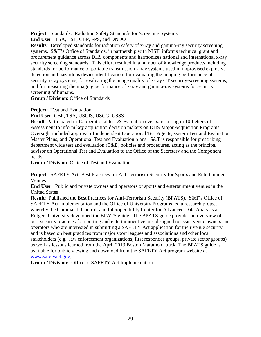**Project**: Standards: Radiation Safety Standards for Screening Systems

**End User**: TSA, TSL, CBP, FPS, and DNDO

**Results**: Developed standards for radiation safety of x-ray and gamma-ray security screening systems. S&T's Office of Standards, in partnership with NIST, informs technical grant and procurement guidance across DHS components and harmonizes national and international x-ray security screening standards. This effort resulted in a number of knowledge products including standards for performance of portable transmission x-ray systems used in improvised explosive detection and hazardous device identification; for evaluating the imaging performance of security x-ray systems; for evaluating the image quality of x-ray CT security-screening systems; and for measuring the imaging performance of x-ray and gamma-ray systems for security screening of humans.

**Group / Division**: Office of Standards

**Project**: Test and Evaluation

**End User**: CBP, TSA, USCIS, USCG, USSS

**Result**: Participated in 10 operational test & evaluation events, resulting in 10 Letters of Assessment to inform key acquisition decision makers on DHS Major Acquisition Programs. Oversight included approval of independent Operational Test Agents, system Test and Evaluation Master Plans, and Operational Test and Evaluation plans. S&T is responsible for prescribing department wide test and evaluation (T&E) policies and procedures, acting as the principal advisor on Operational Test and Evaluation to the Office of the Secretary and the Component heads.

**Group / Division**: Office of Test and Evaluation

**Project**: SAFETY Act: Best Practices for Anti-terrorism Security for Sports and Entertainment Venues

**End User**: Public and private owners and operators of sports and entertainment venues in the United States

**Result**: Published the Best Practices for Anti-Terrorism Security (BPATS).S&T's Office of SAFETY Act Implementation and the Office of University Programs led a research project whereby the Command, Control, and Interoperability Center for Advanced Data Analysis at Rutgers University developed the BPATS guide. The BPATS guide provides an overview of best security practices for sporting and entertainment venues designed to assist venue owners and operators who are interested in submitting a SAFETY Act application for their venue security and is based on best practices from major sport leagues and associations and other local stakeholders (e.g., law enforcement organizations, first responder groups, private sector groups) as well as lessons learned from the April 2013 Boston Marathon attack. The BPATS guide is available for public viewing and download from the SAFETY Act program website at [www.safetyact.gov.](http://www.safetyact.gov/)

**Group / Division:** Office of SAFETY Act Implementation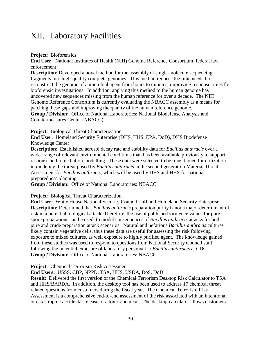### <span id="page-31-0"></span>XII. Laboratory Facilities

**Project**:Bioforensics

**End User**:National Institutes of Health (NIH) Genome Reference Consortium, federal law enforcement

**Description**: Developed a novel method for the assembly of single-molecule sequencing fragments into high-quality complete genomes. This method reduces the time needed to reconstruct the genome of a microbial agent from hours to minutes, improving response times for bioforensic investigations. In addition, applying this method to the human genome has uncovered new sequences missing from the human reference for over a decade. The NIH Genome Reference Consortium is currently evaluating the NBACC assembly as a means for patching these gaps and improving the quality of the human reference genome. **Group / Division:** Office of National Laboratories: National Biodefense Analysis and Countermeasures Center (NBACC)

**Project**: Biological Threat Characterization

**End User:** Homeland Security Enterprise (DHS, HHS, EPA, DoD), DHS Biodefense Knowledge Center

**Description**:Established aerosol decay rate and stability data for *Bacillus anthracis* over a wider range of relevant environmental conditions than has been available previously to support response and remediation modelling. These data were selected to be transitioned for utilization in modeling the threat posed by *Bacillus anthracis* in the second generation Material Threat Assessment for *Bacillus anthracis*, which will be used by DHS and HHS for national preparedness planning.

**Group / Division:** Office of National Laboratories: NBACC

#### **Project**:Biological Threat Characterization

**End User:** White House National Security Council staff and Homeland Security Enterprise **Description:** Determined that *Bacillus anthracis* preparation purity is not a major determinant of risk in a potential biological attack. Therefore, the use of published virulence values for pure spore preparations can be used to model consequences of *Bacillus anthracis* attacks for both pure and crude preparation attack scenarios. Natural and nefarious *Bacillus anthracis* cultures likely contain vegetative cells, thus these data are useful for assessing the risk following exposure to mixed cultures, as well exposure to highly purified agent. The knowledge gained from these studies was used to respond to questions from National Security Council staff following the potential exposure of laboratory personnel to *Bacillus anthracis* at CDC. **Group / Division:** Office of National Laboratories: NBACC

**Project**: Chemical Terrorism Risk Assessment

**End Users:** USSS, CBP, NPPD, TSA, HHS, USDA, DoS, DoD

**Result:** Delivered the first version of the Chemical Terrorism Desktop Risk Calculator to TSA and HHS/BARDA. In addition, the desktop tool has been used to address 17 chemical threat related questions from customers during the fiscal year. The Chemical Terrorism Risk Assessment is a comprehensive end-to-end assessment of the risk associated with an intentional or catastrophic accidental release of a toxic chemical. The desktop calculator allows customers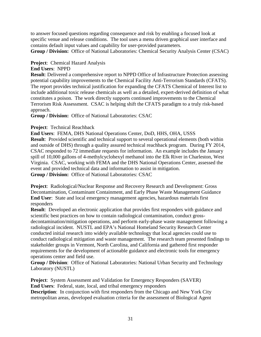to answer focused questions regarding consequence and risk by enabling a focused look at specific venue and release conditions. The tool uses a menu driven graphical user interface and contains default input values and capability for user-provided parameters.

**Group / Division:** Office of National Laboratories: Chemical Security Analysis Center (CSAC)

### **Project**: Chemical Hazard Analysis

### **End Users**: NPPD

**Result**: Delivered a comprehensive report to NPPD Office of Infrastructure Protection assessing potential capability improvements to the Chemical Facility Anti-Terrorism Standards (CFATS). The report provides technical justification for expanding the CFATS Chemical of Interest list to include additional toxic release chemicals as well as a detailed, expert-derived definition of what constitutes a poison. The work directly supports continued improvements to the Chemical Terrorism Risk Assessment. CSAC is helping shift the CFATS paradigm to a truly risk-based approach.

**Group / Division:** Office of National Laboratories: CSAC

### **Project**: Technical Reachback

**End Users**: FEMA, DHS National Operations Center, DoD, HHS, OHA, USSS **Result**: Provided scientific and technical support to several operational elements (both within and outside of DHS) through a quality assured technical reachback program. During FY 2014, CSAC responded to 72 immediate requests for information. An example includes the January spill of 10,000 gallons of 4-methylcyclohexyl methanol into the Elk River in Charleston, West Virginia. CSAC, working with FEMA and the DHS National Operations Center, assessed the event and provided technical data and information to assist in mitigation. **Group / Division:** Office of National Laboratories: CSAC

**Project**:Radiological/Nuclear Response and Recovery Research and Development: Gross Decontamination, Contaminant Containment, and Early Phase Waste Management Guidance **End User**:State and local emergency management agencies, hazardous materials first responders

**Result:** Developed an electronic application that provides first responders with guidance and scientific best practices on how to contain radiological contamination, conduct grossdecontamination/mitigation operations, and perform early-phase waste management following a radiological incident. NUSTL and EPA's National Homeland Security Research Center conducted initial research into widely available technology that local agencies could use to conduct radiological mitigation and waste management. The research team presented findings to stakeholder groups in Vermont, North Carolina, and California and gathered first responder requirements for the development of actionable guidance and electronic tools for emergency operations center and field use.

**Group / Division**:Office of National Laboratories: National Urban Security and Technology Laboratory (NUSTL)

**Project:** System Assessment and Validation for Emergency Responders (SAVER) **End Users**:Federal, state, local, and tribal emergency responders **Description**: In conjunction with first responders from the Chicago and New York City metropolitan areas, developed evaluation criteria for the assessment of Biological Agent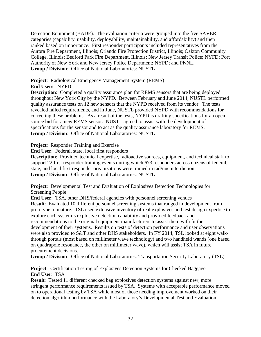Detection Equipment (BADE). The evaluation criteria were grouped into the five SAVER categories (capability, usability, deployability, maintainability, and affordability) and then ranked based on importance. First responder participants included representatives from the Aurora Fire Department, Illinois; Orlando Fire Protection District, Illinois; Oakton Community College, Illinois; Bedford Park Fire Department, Illinois; New Jersey Transit Police; NYFD; Port Authority of New York and New Jersey Police Department; NYPD; and PNNL. **Group / Division**:Office of National Laboratories: NUSTL

**Project**: Radiological Emergency Management System (REMS)

**End Users**: NYPD

**Description**: Completed a quality assurance plan for REMS sensors that are being deployed throughout New York City by the NYPD. Between February and June 2014, NUSTL performed quality assurance tests on 12 new sensors that the NYPD received from its vendor. The tests revealed failed requirements, and in June, NUSTL provided NYPD with recommendations for correcting these problems. As a result of the tests, NYPD is drafting specifications for an open source bid for a new REMS sensor. NUSTL agreed to assist with the development of specifications for the sensor and to act as the quality assurance laboratory for REMS. **Group / Division**:Office of National Laboratories: NUSTL

**Project**: Responder Training and Exercise

**End User**:Federal, state, local first responders

**Description**: Provided technical expertise, radioactive sources, equipment, and technical staff to support 22 first responder training events during which 673 responders across dozens of federal, state, and local first responder organizations were trained in rad/nuc interdiction. **Group / Division**:Office of National Laboratories: NUSTL

**Project**: Developmental Test and Evaluation of Explosives Detection Technologies for Screening People

**End User**: TSA, other DHS/federal agencies with personnel screening venues **Result**: Evaluated 10 different personnel screening systems that ranged in development from prototype to mature. TSL used extensive inventory of real explosives and test design expertise to explore each system's explosive detection capability and provided feedback and recommendations to the original equipment manufacturers to assist them with further development of their systems. Results on tests of detection performance and user observations were also provided to S&T and other DHS stakeholders. In FY 2014, TSL looked at eight walkthrough portals (most based on millimeter wave technology) and two handheld wands (one based on quadrupole resonance, the other on millimeter wave), which will assist TSA in future procurement decisions.

**Group / Division**:Office of National Laboratories: Transportation Security Laboratory (TSL)

**Project**: Certification Testing of Explosives Detection Systems for Checked Baggage **End User**: TSA

**Result**: Tested 11 different checked bag explosives detection systems against new, more stringent performance requirements issued by TSA. Systems with acceptable performance moved on to operational testing by TSA while most of those needing improvement worked on their detection algorithm performance with the Laboratory's Developmental Test and Evaluation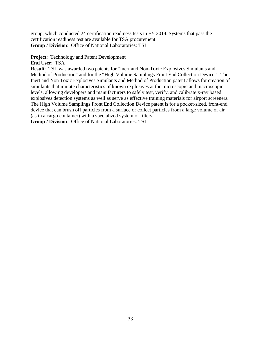group, which conducted 24 certification readiness tests in FY 2014. Systems that pass the certification readiness test are available for TSA procurement. **Group / Division**:Office of National Laboratories: TSL

#### **Project**: Technology and Patent Development

**End User**: TSA

**Result**: TSL was awarded two patents for "Inert and Non-Toxic Explosives Simulants and Method of Production" and for the "High Volume Samplings Front End Collection Device". The Inert and Non Toxic Explosives Simulants and Method of Production patent allows for creation of simulants that imitate characteristics of known explosives at the microscopic and macroscopic levels, allowing developers and manufacturers to safely test, verify, and calibrate x-ray based explosives detection systems as well as serve as effective training materials for airport screeners. The High Volume Samplings Front End Collection Device patent is for a pocket-sized, front-end device that can brush off particles from a surface or collect particles from a large volume of air (as in a cargo container) with a specialized system of filters.

**Group / Division**:Office of National Laboratories: TSL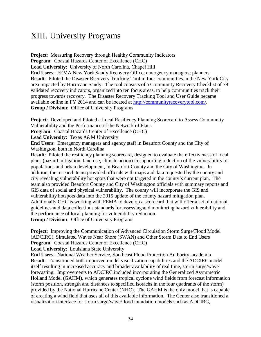### <span id="page-35-0"></span>XIII. University Programs

**Project:** Measuring Recovery through Healthy Community Indicators **Program**:Coastal Hazards Center of Excellence (CHC) **Lead University**:University of North Carolina, Chapel Hill **End Users**: FEMA New York Sandy Recovery Office; emergency managers; planners **Result**: Piloted the Disaster Recovery Tracking Tool in four communities in the New York City area impacted by Hurricane Sandy. The tool consists of a Community Recovery Checklist of 79 validated recovery indicators, organized into ten focus areas, to help communities track their progress towards recovery. The Disaster Recovery Tracking Tool and User Guide became available online in FY 2014 and can be located at [http://communityrecoverytool.com/.](http://communityrecoverytool.com/) **Group / Division**: Office of University Programs

**Project:** Developed and Piloted a Local Resiliency Planning Scorecard to Assess Community Vulnerability and the Performance of the Network of Plans

**Program**:Coastal Hazards Center of Excellence (CHC)

**Lead University**: Texas A&M University

**End Users**:Emergency managers and agency staff in Beaufort County and the City of Washington, both in North Carolina

**Result:** Piloted the resiliency planning scorecard, designed to evaluate the effectiveness of local plans (hazard mitigation, land use, climate action) in supporting reduction of the vulnerability of populations and urban development, in Beaufort County and the City of Washington. In addition, the research team provided officials with maps and data requested by the county and city revealing vulnerability hot spots that were not targeted in the county's current plan. The team also provided Beaufort County and City of Washington officials with summary reports and GIS data of social and physical vulnerability. The county will incorporate the GIS and vulnerability hotspots data into the 2015 update of the county hazard mitigation plan. Additionally CHC is working with FEMA to develop a scorecard that will offer a set of national guidelines and data collections standards for assessing and monitoring hazard vulnerability and the performance of local planning for vulnerability reduction.

**Group / Division**: Office of University Programs

**Project**: Improving the Communication of Advanced Circulation Storm Surge/Flood Model (ADCIRC), Simulated Waves Near Shore (SWAN) and Other Storm Data to End Users **Program**:Coastal Hazards Center of Excellence (CHC)

**Lead University**:Louisiana State University

**End Users**:National Weather Service, Southeast Flood Protection Authority, academia **Result:** Transitioned both improved model visualization capabilities and the ADCIRC model itself resulting in increased accuracy and broader availability of real time, storm surge/wave forecasting. Improvements to ADCIRC included incorporating the Generalized Asymmetric Holland Model (GAHM), which generates tropical cyclone wind fields from forecast information (storm position, strength and distances to specified isotachs in the four quadrants of the storm) provided by the National Hurricane Center (NHC). The GAHM is the only model that is capable of creating a wind field that uses all of this available information. The Center also transitioned a visualization interface for storm surge/wave/flood inundation models such as ADCIRC,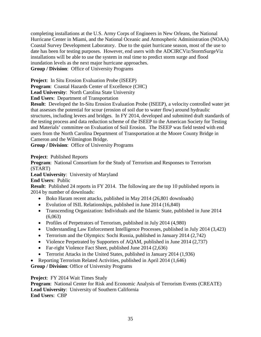completing installations at the U.S. Army Corps of Engineers in New Orleans, the National Hurricane Center in Miami, and the National Oceanic and Atmospheric Administration (NOAA) Coastal Survey Development Laboratory. Due to the quiet hurricane season, most of the use to date has been for testing purposes. However, end users with the ADCIRCViz/StormSurgeViz installations will be able to use the system in real time to predict storm surge and flood inundation levels as the next major hurricane approaches.

**Group / Division**:Office of University Programs

**Project**:In Situ Erosion Evaluation Probe (ISEEP)

**Program**:Coastal Hazards Center of Excellence (CHC)

**Lead University**: North Carolina State University

**End Users**:Department of Transportation

**Result**: Developed the In-Situ Erosion Evaluation Probe (ISEEP), a velocity controlled water jet that assesses the potential for scour (erosion of soil due to water flow) around hydraulic structures, including levees and bridges. In FY 2014, developed and submitted draft standards of the testing process and data reduction scheme of the ISEEP to the American Society for Testing and Materials' committee on Evaluation of Soil Erosion. The ISEEP was field tested with end users from the North Carolina Department of Transportation at the Moore County Bridge in Cameron and the Wilmington Bridge.

**Group / Division**:Office of University Programs

**Project**: Published Reports

**Program**:National Consortium for the Study of Terrorism and Responses to Terrorism (START)

Lead University: University of Maryland

**End Users**: Public

**Result**: Published 24 reports in FY 2014. The following are the top 10 published reports in 2014 by number of downloads:

- Boko Haram recent attacks, published in May 2014 (26,801 downloads)
- Evolution of ISIL Relationships, published in June 2014 (16,840)
- Transcending Organization: Individuals and the Islamic State, published in June 2014  $(6,063)$
- Profiles of Perpetrators of Terrorism, published in July 2014 (4,980)
- Understanding Law Enforcement Intelligence Processes, published in July 2014 (3,423)
- Terrorism and the Olympics: Sochi Russia, published in January 2014 (2,742)
- Violence Perpetrated by Supporters of AQAM, published in June 2014 (2,737)
- Far-right Violence Fact Sheet, published June 2014 (2,636)
- Terrorist Attacks in the United States, published in January 2014 (1,936)
- Reporting Terrorism Related Activities, published in April 2014 (1,646)

**Group / Division**: Office of University Programs

**Project**: FY 2014 Wait Times Study

**Program**:National Center for Risk and Economic Analysis of Terrorism Events (CREATE) **Lead University**:University of Southern California **End Users**: CBP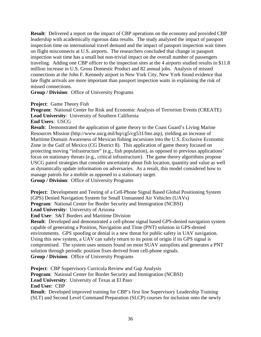**Result**: Delivered a report on the impact of CBP operations on the economy and provided CBP leadership with academically rigorous data results. The study analyzed the impact of passport inspection time on international travel demand and the impact of passport inspection wait times on flight misconnects at U.S. airports. The researchers concluded that change in passport inspection wait time has a small but non-trivial impact on the overall number of passengers traveling. Adding one CBP officer to the inspection sites at the 4 airports studied results in \$11.8 million increase in U.S. Gross Domestic Product and 82 annual jobs. Analysis of missed connections at the John F. Kennedy airport in New York City, New York found evidence that late flight arrivals are more important than passport inspection waits in explaining the risk of missed connections.

**Group / Division**:Office of University Programs

**Project**: Game Theory Fish

**Program**:National Center for Risk and Economic Analysis of Terrorism Events (CREATE) **Lead University**:University of Southern California

**End Users**: USCG

**Result**: Demonstrated the application of game theory to the Coast Guard's Living Marine Resources Mission (http://www.uscg.mil/hq/cg5/cg531/lmr.asp), yielding an increase of Maritime Domain Awareness of Mexican fishing incursions into the U.S. Exclusive Economic Zone in the Gulf of Mexico (CG District 8). This application of game theory focused on protecting moving "infrastructure" (e.g., fish population), as opposed to previous applications' focus on stationary threats (e.g., critical infrastructure). The game theory algorithms propose USCG patrol strategies that consider uncertainty about fish location, quantity and value as well as dynamically update information on adversaries. As a result, this model considered how to manage patrols for a mobile as opposed to a stationary target.

**Group / Division**:Office of University Programs

**Project**: Development and Testing of a Cell-Phone Signal Based Global Positioning System (GPS) Denied Navigation System for Small Unmanned Air Vehicles (UAVs) **Program:** National Center for Border Security and Immigration (NCBSI) **Lead University**:University of Arizona

**End User**:S&T Borders and Maritime Division

**Result**: Developed and demonstrated a cell-phone signal based GPS-denied navigation system capable of generating a Position, Navigation and Time (PNT) solution in GPS-denied environments. GPS spoofing or denial is a new threat for public safety in UAV navigation. Using this new system, a UAV can safely return to its point of origin if its GPS signal is compromised. The system uses sensors found on most SUAV autopilots and generates a PNT solution through periodic position fixes derived from cell-phone signals. **Group / Division**:Office of University Programs

**Project**: CBP Supervisory Curricula Review and Gap Analysis **Program:** National Center for Border Security and Immigration (NCBSI) **Lead University**: University of Texas at El Paso **End User**:CBP **Result**: Developed improved training for CBP's first line Supervisory Leadership Training (SLT) and Second Level Command Preparation (SLCP) courses for inclusion onto the newly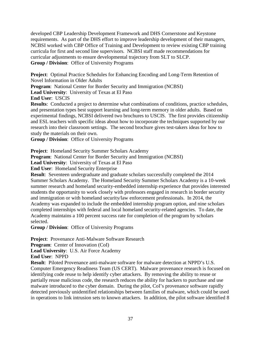developed CBP Leadership Development Framework and DHS Cornerstone and Keystone requirements. As part of the DHS effort to improve leadership development of their managers, NCBSI worked with CBP Office of Training and Development to review existing CBP training curricula for first and second line supervisors. NCBSI staff made recommendations for curricular adjustments to ensure developmental trajectory from SLT to SLCP. **Group / Division**:Office of University Programs

**Project**: Optimal Practice Schedules for Enhancing Encoding and Long-Term Retention of Novel Information in Older Adults

**Program**:National Center for Border Security and Immigration (NCBSI)

**Lead University**: University of Texas at El Paso

**End User**:USCIS

**Results**: Conducted a project to determine what combinations of conditions, practice schedules, and presentation types best support learning and long-term memory in older adults. Based on experimental findings, NCBSI delivered two brochures to USCIS. The first provides citizenship and ESL teachers with specific ideas about how to incorporate the techniques supported by our research into their classroom settings. The second brochure gives test-takers ideas for how to study the materials on their own.

**Group / Division**:Office of University Programs

**Project**: Homeland Security Summer Scholars Academy

**Program:** National Center for Border Security and Immigration (NCBSI)

**Lead University**:University of Texas at El Paso

**End User**:Homeland Security Enterprise

**Result**: Seventeen undergraduate and graduate scholars successfully completed the 2014 Summer Scholars Academy. The Homeland Security Summer Scholars Academy is a 10-week summer research and homeland security-embedded internship experience that provides interested students the opportunity to work closely with professors engaged in research in border security and immigration or with homeland security/law enforcement professionals. In 2014, the Academy was expanded to include the embedded internship program option, and nine scholars completed internships with federal and local homeland security-related agencies. To date, the Academy maintains a 100 percent success rate for completion of the program by scholars selected.

**Group / Division**:Office of University Programs

**Project**: Provenance Anti-Malware Software Research

**Program:** Center of Innovation (CoI)

**Lead University**:U.S. Air Force Academy

**End User**: NPPD

**Result**: Piloted Provenance anti-malware software for malware detection at NPPD's U.S. Computer Emergency Readiness Team (US CERT). Malware provenance research is focused on identifying code reuse to help identify cyber attackers. By removing the ability to reuse or partially reuse malicious code, the research reduces the ability for hackers to purchase and use malware introduced to the cyber domain. During the pilot, CoI's provenance software rapidly detected previously unidentified relationships between families of malware, which could be used in operations to link intrusion sets to known attackers. In addition, the pilot software identified 8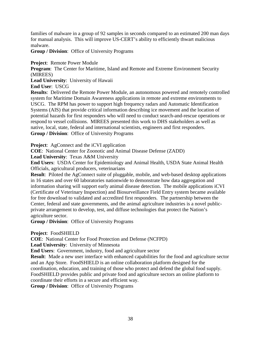families of malware in a group of 92 samples in seconds compared to an estimated 200 man days for manual analysis. This will improve US-CERT's ability to efficiently thwart malicious malware.

**Group / Division**:Office of University Programs

**Project**: Remote Power Module

**Program:** The Center for Maritime, Island and Remote and Extreme Environment Security (MIREES)

**Lead University**:University of Hawaii

**End User**:USCG

**Results**: Delivered the Remote Power Module, an autonomous powered and remotely controlled system for Maritime Domain Awareness applications in remote and extreme environments to USCG. The RPM has power to support high frequency radars and Automatic Identification Systems (AIS) that provide critical information describing ice movement and the location of potential hazards for first responders who will need to conduct search-and-rescue operations or respond to vessel collisions. MIREES presented this work to DHS stakeholders as well as native, local, state, federal and international scientists, engineers and first responders. **Group / Division**:Office of University Programs

**Project:** AgConnect and the iCVI application

**COE**:National Center for Zoonotic and Animal Disease Defense (ZADD)

**Lead University**: Texas A&M University

**End Users**:USDA Center for Epidemiology and Animal Health, USDA State Animal Health Officials, agricultural producers, veterinarians

**Result:** Piloted the AgConnect suite of pluggable, mobile, and web-based desktop applications in 16 states and over 60 laboratories nationwide to demonstrate how data aggregation and information sharing will support early animal disease detection. The mobile applications iCVI (Certificate of Veterinary Inspection) and Biosurveillance Field Entry system became available for free download to validated and accredited first responders. The partnership between the Center, federal and state governments, and the animal agriculture industries is a novel publicprivate arrangement to develop, test, and diffuse technologies that protect the Nation's agriculture sector.

**Group / Division**:Office of University Programs

**Project**:FoodSHIELD

**COE**:National Center for Food Protection and Defense (NCFPD)

**Lead University**:University of Minnesota

**End Users**:Government, industry, food and agriculture sector

**Result:** Made a new user interface with enhanced capabilities for the food and agriculture sector and an App Store. FoodSHIELD is an online collaboration platform designed for the coordination, education, and training of those who protect and defend the global food supply. FoodSHIELD provides public and private food and agriculture sectors an online platform to coordinate their efforts in a secure and efficient way.

**Group / Division**:Office of University Programs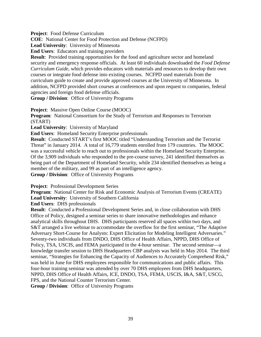**Project**: Food Defense Curriculum

**COE**: National Center for Food Protection and Defense (NCFPD)

**Lead University**: University of Minnesota

**End Users**: Educators and training providers

**Result:** Provided training opportunities for the food and agriculture sector and homeland security and emergency response officials. At least 60 individuals downloaded the *Food Defense Curriculum Guide*, which provides educators with materials and resources to develop their own courses or integrate food defense into existing courses. NCFPD used materials from the curriculum guide to create and provide approved courses at the University of Minnesota. In addition, NCFPD provided short courses at conferences and upon request to companies, federal agencies and foreign food defense officials.

**Group / Division**:Office of University Programs

**Project**: Massive Open Online Course (MOOC)

**Program**: National Consortium for the Study of Terrorism and Responses to Terrorism (START)

Lead University: University of Maryland

**End Users**: Homeland Security Enterprise professionals

**Result**: Conducted START's first MOOC titled "Understanding Terrorism and the Terrorist Threat" in January 2014. A total of 16,779 students enrolled from 179 countries. The MOOC was a successful vehicle to reach out to professionals within the Homeland Security Enterprise. Of the 3,909 individuals who responded to the pre-course survey, 241 identified themselves as being part of the Department of Homeland Security, while 234 identified themselves as being a member of the military, and 99 as part of an intelligence agency.

**Group / Division**:Office of University Programs

**Project**: Professional Development Series

**Program:** National Center for Risk and Economic Analysis of Terrorism Events (CREATE) **Lead University**: University of Southern California

**End Users**: DHS professionals

**Result**: Conducted a Professional Development Series and, in close collaboration with DHS Office of Policy, designed a seminar series to share innovative methodologies and enhance analytical skills throughout DHS. DHS participants reserved all spaces within two days, and S&T arranged a live webinar to accommodate the overflow for the first seminar, "The Adaptive Adversary Short-Course for Analysts: Expert Elicitation for Modeling Intelligent Adversaries." Seventy-two individuals from DNDO, DHS Office of Health Affairs, NPPD, DHS Office of Policy, TSA, USCIS, and FEMA participated in the 4-hour seminar. The second seminar—a knowledge transfer session to DHS Headquarters CBP analysts was held in May 2014. The third seminar, "Strategies for Enhancing the Capacity of Audiences to Accurately Comprehend Risk," was held in June for DHS employees responsible for communications and public affairs. This four-hour training seminar was attended by over 70 DHS employees from DHS headquarters, NPPD, DHS Office of Health Affairs, ICE, DNDO, TSA, FEMA, USCIS, I&A, S&T, USCG, FPS, and the National Counter Terrorism Center.

**Group / Division**:Office of University Programs